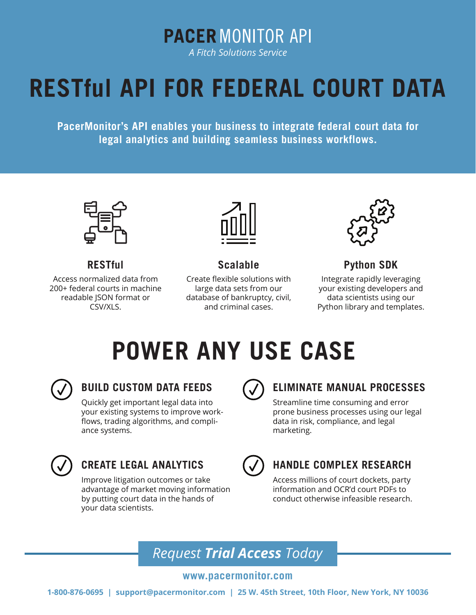**PACER MONITOR API** 

*A Fitch Solutions Service*

# **RESTful API FOR FEDERAL COURT DATA**

**PacerMonitor's API enables your business to integrate federal court data for legal analytics and building seamless business workflows.**



#### **RESTful**

Access normalized data from 200+ federal courts in machine readable JSON format or CSV/XLS.



#### **Scalable**

Create flexible solutions with large data sets from our database of bankruptcy, civil, and criminal cases.



#### **Python SDK**

Integrate rapidly leveraging your existing developers and data scientists using our Python library and templates.

# **POWER ANY USE CASE**



### **BUILD CUSTOM DATA FEEDS**

Quickly get important legal data into your existing systems to improve workflows, trading algorithms, and compliance systems.



#### **ELIMINATE MANUAL PROCESSES**

Streamline time consuming and error prone business processes using our legal data in risk, compliance, and legal marketing.



### **CREATE LEGAL ANALYTICS**

Improve litigation outcomes or take advantage of market moving information by putting court data in the hands of your data scientists.



### **HANDLE COMPLEX RESEARCH**

Access millions of court dockets, party information and OCR'd court PDFs to conduct otherwise infeasible research.

## *Request Trial Access Today*

#### **www.pacermonitor.com**

**1-800-876-0695 | support@pacermonitor.com | 25 W. 45th Street, 10th Floor, New York, NY 10036**